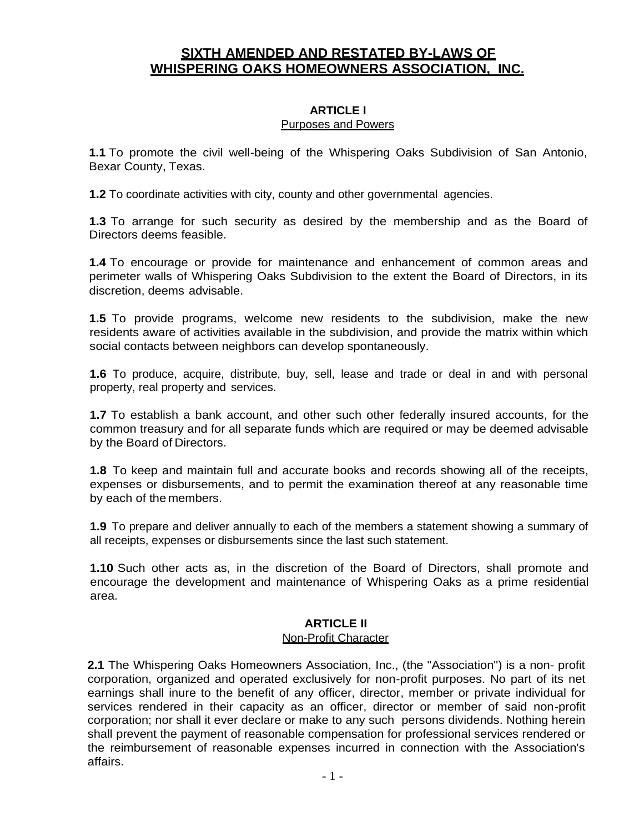# **SIXTH AMENDED AND RESTATED BY-LAWS OF WHISPERING OAKS HOMEOWNERS ASSOCIATION, INC.**

#### **ARTICLE I** Purposes and Powers

**1.1** To promote the civil well-being of the Whispering Oaks Subdivision of San Antonio, Bexar County, Texas.

**1.2** To coordinate activities with city, county and other governmental agencies.

**1.3** To arrange for such security as desired by the membership and as the Board of Directors deems feasible.

**1.4** To encourage or provide for maintenance and enhancement of common areas and perimeter walls of Whispering Oaks Subdivision to the extent the Board of Directors, in its discretion, deems advisable.

**1.5** To provide programs, welcome new residents to the subdivision, make the new residents aware of activities available in the subdivision, and provide the matrix within which social contacts between neighbors can develop spontaneously.

**1.6** To produce, acquire, distribute, buy, sell, lease and trade or deal in and with personal property, real property and services.

**1.7** To establish a bank account, and other such other federally insured accounts, for the common treasury and for all separate funds which are required or may be deemed advisable by the Board of Directors.

**1.8** To keep and maintain full and accurate books and records showing all of the receipts, expenses or disbursements, and to permit the examination thereof at any reasonable time by each of the members.

**1.9** To prepare and deliver annually to each of the members a statement showing a summary of all receipts, expenses or disbursements since the last such statement.

**1.10** Such other acts as, in the discretion of the Board of Directors, shall promote and encourage the development and maintenance of Whispering Oaks as a prime residential area.

#### **ARTICLE II**

#### Non-Profit Character

**2.1** The Whispering Oaks Homeowners Association, Inc., (the "Association") is a non- profit corporation, organized and operated exclusively for non-profit purposes. No part of its net earnings shall inure to the benefit of any officer, director, member or private individual for services rendered in their capacity as an officer, director or member of said non-profit corporation; nor shall it ever declare or make to any such persons dividends. Nothing herein shall prevent the payment of reasonable compensation for professional services rendered or the reimbursement of reasonable expenses incurred in connection with the Association's affairs.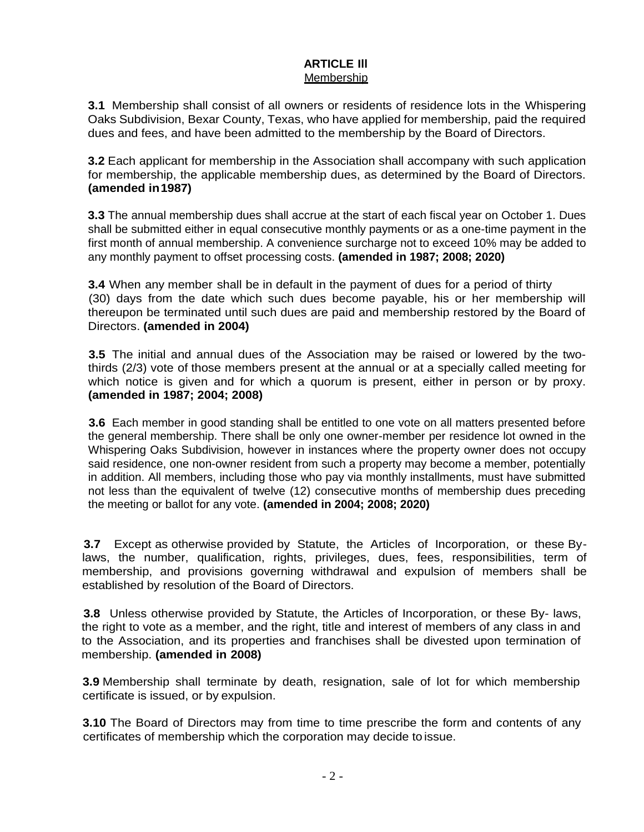#### **ARTICLE Ill** Membership

**3.1** Membership shall consist of all owners or residents of residence lots in the Whispering Oaks Subdivision, Bexar County, Texas, who have applied for membership, paid the required dues and fees, and have been admitted to the membership by the Board of Directors.

**3.2** Each applicant for membership in the Association shall accompany with such application for membership, the applicable membership dues, as determined by the Board of Directors. **(amended in1987)**

**3.3** The annual membership dues shall accrue at the start of each fiscal year on October 1. Dues shall be submitted either in equal consecutive monthly payments or as a one-time payment in the first month of annual membership. A convenience surcharge not to exceed 10% may be added to any monthly payment to offset processing costs. **(amended in 1987; 2008; 2020)** 

**3.4** When any member shall be in default in the payment of dues for a period of thirty (30) days from the date which such dues become payable, his or her membership will thereupon be terminated until such dues are paid and membership restored by the Board of Directors. **(amended in 2004)**

**3.5** The initial and annual dues of the Association may be raised or lowered by the twothirds (2/3) vote of those members present at the annual or at a specially called meeting for which notice is given and for which a quorum is present, either in person or by proxy. **(amended in 1987; 2004; 2008)**

**3.6** Each member in good standing shall be entitled to one vote on all matters presented before the general membership. There shall be only one owner-member per residence lot owned in the Whispering Oaks Subdivision, however in instances where the property owner does not occupy said residence, one non-owner resident from such a property may become a member, potentially in addition. All members, including those who pay via monthly installments, must have submitted not less than the equivalent of twelve (12) consecutive months of membership dues preceding the meeting or ballot for any vote. **(amended in 2004; 2008; 2020)**

**3.7** Except as otherwise provided by Statute, the Articles of Incorporation, or these Bylaws, the number, qualification, rights, privileges, dues, fees, responsibilities, term of membership, and provisions governing withdrawal and expulsion of members shall be established by resolution of the Board of Directors.

**3.8** Unless otherwise provided by Statute, the Articles of Incorporation, or these By- laws, the right to vote as a member, and the right, title and interest of members of any class in and to the Association, and its properties and franchises shall be divested upon termination of membership. **(amended in 2008)**

**3.9** Membership shall terminate by death, resignation, sale of lot for which membership certificate is issued, or by expulsion.

**3.10** The Board of Directors may from time to time prescribe the form and contents of any certificates of membership which the corporation may decide to issue.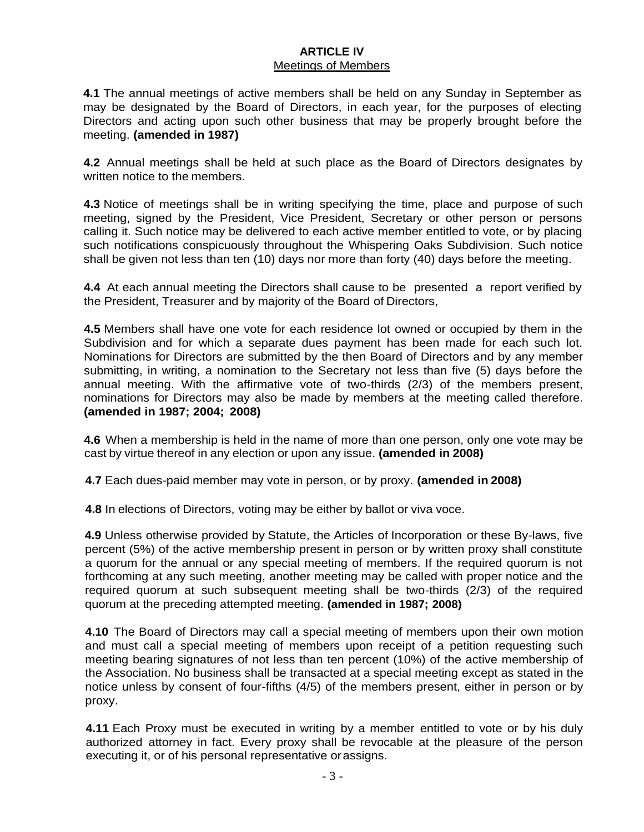#### **ARTICLE IV** Meetings of Members

**4.1** The annual meetings of active members shall be held on any Sunday in September as may be designated by the Board of Directors, in each year, for the purposes of electing Directors and acting upon such other business that may be properly brought before the meeting. **(amended in 1987)**

**4.2** Annual meetings shall be held at such place as the Board of Directors designates by written notice to the members.

**4.3** Notice of meetings shall be in writing specifying the time, place and purpose of such meeting, signed by the President, Vice President, Secretary or other person or persons calling it. Such notice may be delivered to each active member entitled to vote, or by placing such notifications conspicuously throughout the Whispering Oaks Subdivision. Such notice shall be given not less than ten (10) days nor more than forty (40) days before the meeting.

**4.4** At each annual meeting the Directors shall cause to be presented a report verified by the President, Treasurer and by majority of the Board of Directors,

**4.5** Members shall have one vote for each residence lot owned or occupied by them in the Subdivision and for which a separate dues payment has been made for each such lot. Nominations for Directors are submitted by the then Board of Directors and by any member submitting, in writing, a nomination to the Secretary not less than five (5) days before the annual meeting. With the affirmative vote of two-thirds (2/3) of the members present, nominations for Directors may also be made by members at the meeting called therefore. **(amended in 1987; 2004; 2008)**

**4.6** When a membership is held in the name of more than one person, only one vote may be cast by virtue thereof in any election or upon any issue. **(amended in 2008)**

**4.7** Each dues-paid member may vote in person, or by proxy. **(amended in 2008)**

**4.8** In elections of Directors, voting may be either by ballot or viva voce.

**4.9** Unless otherwise provided by Statute, the Articles of Incorporation or these By-laws, five percent (5%) of the active membership present in person or by written proxy shall constitute a quorum for the annual or any special meeting of members. If the required quorum is not forthcoming at any such meeting, another meeting may be called with proper notice and the required quorum at such subsequent meeting shall be two-thirds (2/3) of the required quorum at the preceding attempted meeting. **(amended in 1987; 2008)**

**4.10** The Board of Directors may call a special meeting of members upon their own motion and must call a special meeting of members upon receipt of a petition requesting such meeting bearing signatures of not less than ten percent (10%) of the active membership of the Association. No business shall be transacted at a special meeting except as stated in the notice unless by consent of four-fifths (4/5) of the members present, either in person or by proxy.

**4.11** Each Proxy must be executed in writing by a member entitled to vote or by his duly authorized attorney in fact. Every proxy shall be revocable at the pleasure of the person executing it, or of his personal representative orassigns.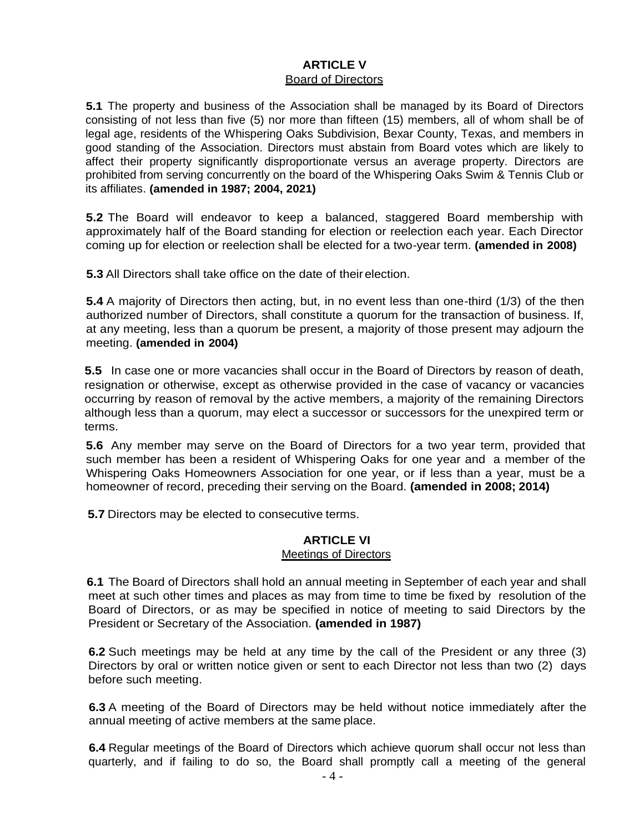#### **ARTICLE V** Board of Directors

**5.1** The property and business of the Association shall be managed by its Board of Directors consisting of not less than five (5) nor more than fifteen (15) members, all of whom shall be of legal age, residents of the Whispering Oaks Subdivision, Bexar County, Texas, and members in good standing of the Association. Directors must abstain from Board votes which are likely to affect their property significantly disproportionate versus an average property. Directors are prohibited from serving concurrently on the board of the Whispering Oaks Swim & Tennis Club or its affiliates. **(amended in 1987; 2004, 2021)**

**5.2** The Board will endeavor to keep a balanced, staggered Board membership with approximately half of the Board standing for election or reelection each year. Each Director coming up for election or reelection shall be elected for a two-year term. **(amended in 2008)**

**5.3** All Directors shall take office on the date of theirelection.

**5.4** A majority of Directors then acting, but, in no event less than one-third (1/3) of the then authorized number of Directors, shall constitute a quorum for the transaction of business. If, at any meeting, less than a quorum be present, a majority of those present may adjourn the meeting. **(amended in 2004)**

**5.5** In case one or more vacancies shall occur in the Board of Directors by reason of death, resignation or otherwise, except as otherwise provided in the case of vacancy or vacancies occurring by reason of removal by the active members, a majority of the remaining Directors although less than a quorum, may elect a successor or successors for the unexpired term or terms.

**5.6** Any member may serve on the Board of Directors for a two year term, provided that such member has been a resident of Whispering Oaks for one year and a member of the Whispering Oaks Homeowners Association for one year, or if less than a year, must be a homeowner of record, preceding their serving on the Board. **(amended in 2008; 2014)**

**5.7** Directors may be elected to consecutive terms.

## **ARTICLE VI**

#### Meetings of Directors

**6.1** The Board of Directors shall hold an annual meeting in September of each year and shall meet at such other times and places as may from time to time be fixed by resolution of the Board of Directors, or as may be specified in notice of meeting to said Directors by the President or Secretary of the Association. **(amended in 1987)**

**6.2** Such meetings may be held at any time by the call of the President or any three (3) Directors by oral or written notice given or sent to each Director not less than two (2) days before such meeting.

**6.3** A meeting of the Board of Directors may be held without notice immediately after the annual meeting of active members at the same place.

**6.4** Regular meetings of the Board of Directors which achieve quorum shall occur not less than quarterly, and if failing to do so, the Board shall promptly call a meeting of the general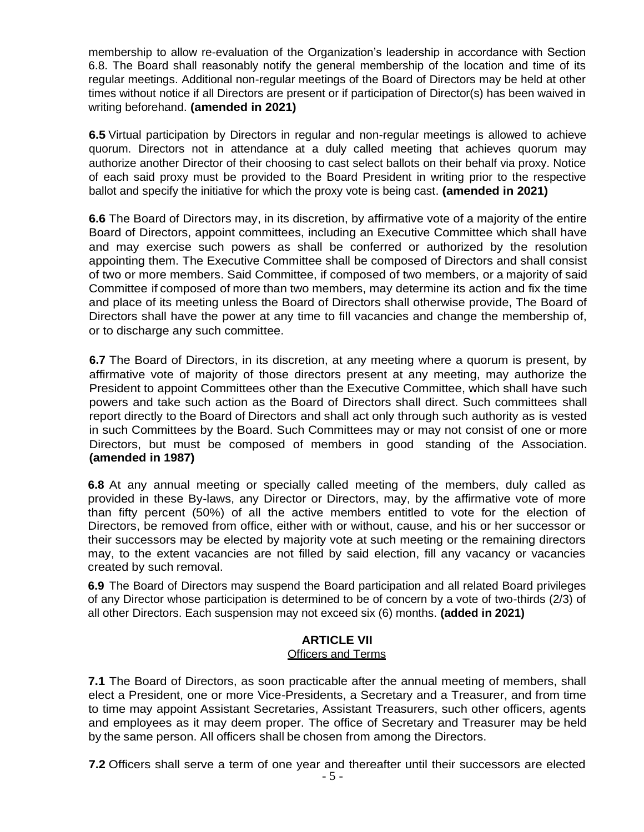membership to allow re-evaluation of the Organization's leadership in accordance with Section 6.8. The Board shall reasonably notify the general membership of the location and time of its regular meetings. Additional non-regular meetings of the Board of Directors may be held at other times without notice if all Directors are present or if participation of Director(s) has been waived in writing beforehand. **(amended in 2021)**

**6.5** Virtual participation by Directors in regular and non-regular meetings is allowed to achieve quorum. Directors not in attendance at a duly called meeting that achieves quorum may authorize another Director of their choosing to cast select ballots on their behalf via proxy. Notice of each said proxy must be provided to the Board President in writing prior to the respective ballot and specify the initiative for which the proxy vote is being cast. **(amended in 2021)**

**6.6** The Board of Directors may, in its discretion, by affirmative vote of a majority of the entire Board of Directors, appoint committees, including an Executive Committee which shall have and may exercise such powers as shall be conferred or authorized by the resolution appointing them. The Executive Committee shall be composed of Directors and shall consist of two or more members. Said Committee, if composed of two members, or a majority of said Committee if composed of more than two members, may determine its action and fix the time and place of its meeting unless the Board of Directors shall otherwise provide, The Board of Directors shall have the power at any time to fill vacancies and change the membership of, or to discharge any such committee.

**6.7** The Board of Directors, in its discretion, at any meeting where a quorum is present, by affirmative vote of majority of those directors present at any meeting, may authorize the President to appoint Committees other than the Executive Committee, which shall have such powers and take such action as the Board of Directors shall direct. Such committees shall report directly to the Board of Directors and shall act only through such authority as is vested in such Committees by the Board. Such Committees may or may not consist of one or more Directors, but must be composed of members in good standing of the Association. **(amended in 1987)**

**6.8** At any annual meeting or specially called meeting of the members, duly called as provided in these By-laws, any Director or Directors, may, by the affirmative vote of more than fifty percent (50%) of all the active members entitled to vote for the election of Directors, be removed from office, either with or without, cause, and his or her successor or their successors may be elected by majority vote at such meeting or the remaining directors may, to the extent vacancies are not filled by said election, fill any vacancy or vacancies created by such removal.

**6.9** The Board of Directors may suspend the Board participation and all related Board privileges of any Director whose participation is determined to be of concern by a vote of two-thirds (2/3) of all other Directors. Each suspension may not exceed six (6) months. **(added in 2021)**

#### **ARTICLE VII Officers and Terms**

**7.1** The Board of Directors, as soon practicable after the annual meeting of members, shall elect a President, one or more Vice-Presidents, a Secretary and a Treasurer, and from time to time may appoint Assistant Secretaries, Assistant Treasurers, such other officers, agents and employees as it may deem proper. The office of Secretary and Treasurer may be held by the same person. All officers shall be chosen from among the Directors.

**7.2** Officers shall serve a term of one year and thereafter until their successors are elected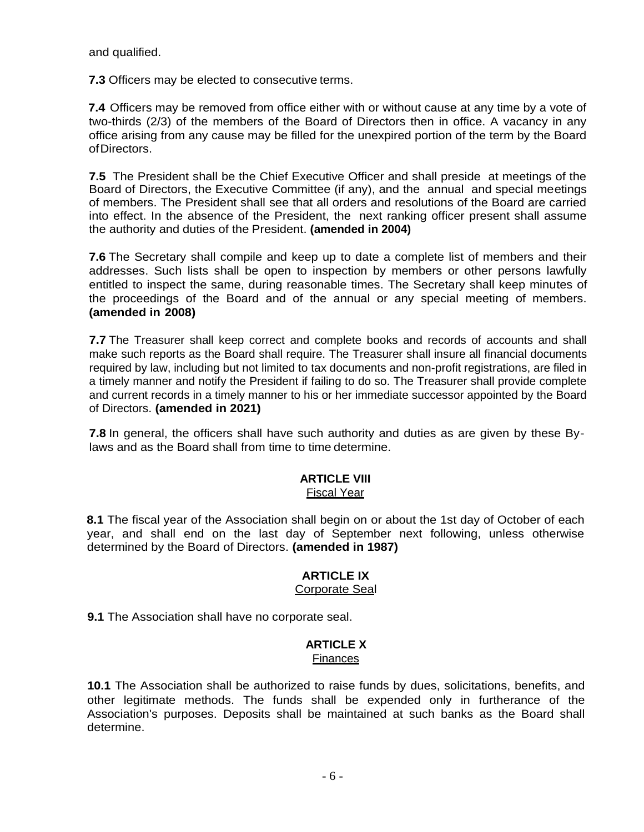and qualified.

**7.3** Officers may be elected to consecutive terms.

**7.4** Officers may be removed from office either with or without cause at any time by a vote of two-thirds (2/3) of the members of the Board of Directors then in office. A vacancy in any office arising from any cause may be filled for the unexpired portion of the term by the Board ofDirectors.

**7.5** The President shall be the Chief Executive Officer and shall preside at meetings of the Board of Directors, the Executive Committee (if any), and the annual and special meetings of members. The President shall see that all orders and resolutions of the Board are carried into effect. In the absence of the President, the next ranking officer present shall assume the authority and duties of the President. **(amended in 2004)**

**7.6** The Secretary shall compile and keep up to date a complete list of members and their addresses. Such lists shall be open to inspection by members or other persons lawfully entitled to inspect the same, during reasonable times. The Secretary shall keep minutes of the proceedings of the Board and of the annual or any special meeting of members. **(amended in 2008)**

**7.7** The Treasurer shall keep correct and complete books and records of accounts and shall make such reports as the Board shall require. The Treasurer shall insure all financial documents required by law, including but not limited to tax documents and non-profit registrations, are filed in a timely manner and notify the President if failing to do so. The Treasurer shall provide complete and current records in a timely manner to his or her immediate successor appointed by the Board of Directors. **(amended in 2021)**

**7.8** In general, the officers shall have such authority and duties as are given by these Bylaws and as the Board shall from time to time determine.

#### **ARTICLE VIII**

#### Fiscal Year

**8.1** The fiscal year of the Association shall begin on or about the 1st day of October of each year, and shall end on the last day of September next following, unless otherwise determined by the Board of Directors. **(amended in 1987)**

#### **ARTICLE IX** Corporate Seal

**9.1** The Association shall have no corporate seal.

# **ARTICLE X**

#### **Finances**

**10.1** The Association shall be authorized to raise funds by dues, solicitations, benefits, and other legitimate methods. The funds shall be expended only in furtherance of the Association's purposes. Deposits shall be maintained at such banks as the Board shall determine.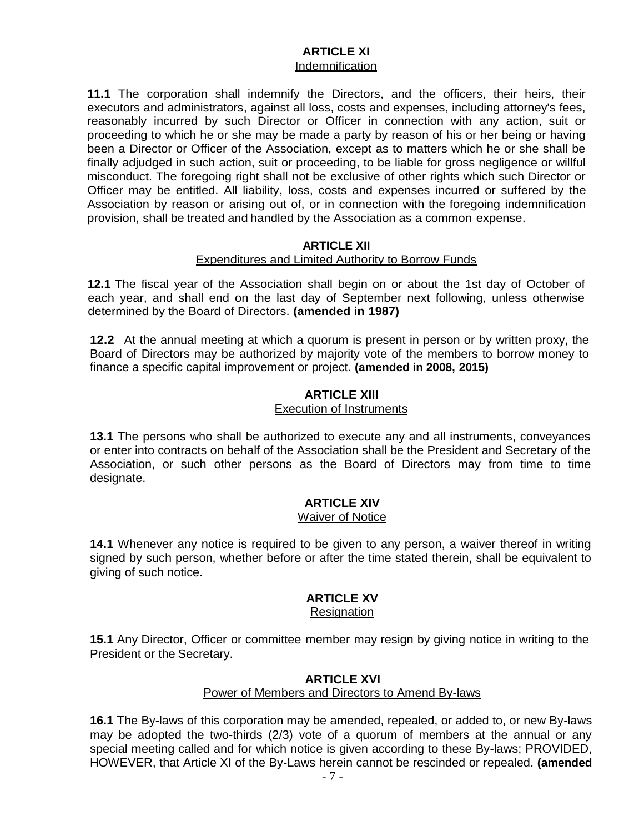#### **ARTICLE XI** Indemnification

**11.1** The corporation shall indemnify the Directors, and the officers, their heirs, their executors and administrators, against all loss, costs and expenses, including attorney's fees, reasonably incurred by such Director or Officer in connection with any action, suit or proceeding to which he or she may be made a party by reason of his or her being or having been a Director or Officer of the Association, except as to matters which he or she shall be finally adjudged in such action, suit or proceeding, to be liable for gross negligence or willful misconduct. The foregoing right shall not be exclusive of other rights which such Director or Officer may be entitled. All liability, loss, costs and expenses incurred or suffered by the Association by reason or arising out of, or in connection with the foregoing indemnification provision, shall be treated and handled by the Association as a common expense.

#### **ARTICLE XII**

#### Expenditures and Limited Authority to Borrow Funds

**12.1** The fiscal year of the Association shall begin on or about the 1st day of October of each year, and shall end on the last day of September next following, unless otherwise determined by the Board of Directors. **(amended in 1987)**

**12.2** At the annual meeting at which a quorum is present in person or by written proxy, the Board of Directors may be authorized by majority vote of the members to borrow money to finance a specific capital improvement or project. **(amended in 2008, 2015)**

## **ARTICLE XIII**

#### Execution of Instruments

**13.1** The persons who shall be authorized to execute any and all instruments, conveyances or enter into contracts on behalf of the Association shall be the President and Secretary of the Association, or such other persons as the Board of Directors may from time to time designate.

## **ARTICLE XIV**

#### Waiver of Notice

**14.1** Whenever any notice is required to be given to any person, a waiver thereof in writing signed by such person, whether before or after the time stated therein, shall be equivalent to giving of such notice.

# **ARTICLE XV**

### **Resignation**

**15.1** Any Director, Officer or committee member may resign by giving notice in writing to the President or the Secretary.

#### **ARTICLE XVI**

#### Power of Members and Directors to Amend By-laws

**16.1** The By-laws of this corporation may be amended, repealed, or added to, or new By-laws may be adopted the two-thirds (2/3) vote of a quorum of members at the annual or any special meeting called and for which notice is given according to these By-laws; PROVIDED, HOWEVER, that Article XI of the By-Laws herein cannot be rescinded or repealed. **(amended**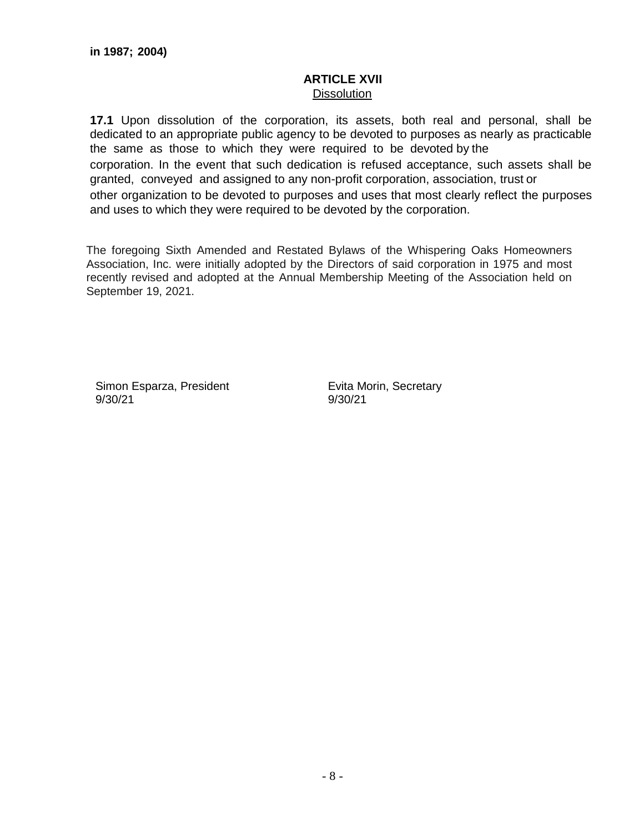#### **ARTICLE XVII Dissolution**

**17.1** Upon dissolution of the corporation, its assets, both real and personal, shall be dedicated to an appropriate public agency to be devoted to purposes as nearly as practicable the same as those to which they were required to be devoted by the corporation. In the event that such dedication is refused acceptance, such assets shall be granted, conveyed and assigned to any non-profit corporation, association, trust or other organization to be devoted to purposes and uses that most clearly reflect the purposes and uses to which they were required to be devoted by the corporation.

The foregoing Sixth Amended and Restated Bylaws of the Whispering Oaks Homeowners Association, Inc. were initially adopted by the Directors of said corporation in 1975 and most recently revised and adopted at the Annual Membership Meeting of the Association held on September 19, 2021.

Simon Esparza, President 9/30/21

Evita Morin, Secretary 9/30/21